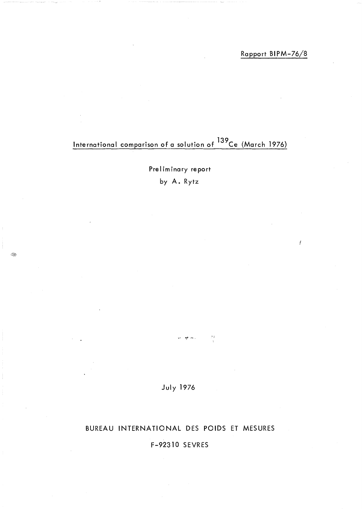## Rapport BIPM-76/8

# International comparison of a solution of <sup>139</sup>Ce (March 1976)

Preliminary report by A. Rytz

Í,

**July 1976** 

yk. en los c  $\mathcal{I}$  )

### BUREAU INTERNATIONAL DES POIDS ET MESURES

# F-92310 SEVRES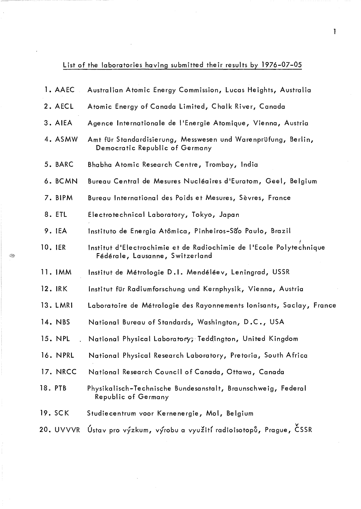# List of the laboratories having submitted their results by 1976-07-05

| 1. AAEC                         | Australian Atomic Energy Commission, Lucas Heights, Australia                                          |
|---------------------------------|--------------------------------------------------------------------------------------------------------|
| 2. AECL                         | Atomic Energy of Canada Limited, Chalk River, Canada                                                   |
| 3. AIEA                         | Agence Internationale de l'Energie Atomique, Vienna, Austria                                           |
| 4. ASMW                         | Amt für Standardisierung, Messwesen und Warenprüfung, Berlin,<br>Democratic Republic of Germany        |
| 5. BARC                         | Bhabha Atomic Research Centre, Trombay, India                                                          |
| 6. BCMN                         | Bureau Central de Mesures Nucléaires d'Euratom, Geel, Belgium                                          |
| 7. BIPM                         | Bureau International des Poids et Mesures, Sèvres, France                                              |
| 8. ETL                          | Electrotechnical Laboratory, Tokyo, Japan                                                              |
| 9. IEA                          | Instituto de Energia Atômica, Pinheiros-São Paulo, Brazil                                              |
| 10. IER                         | Institut d'Electrochimie et de Radiochimie de l'Ecole Polytechnique<br>Fédérale, Lausanne, Switzerland |
| 11. IMM                         | Institut de Métrologie D.I. Mendéléev, Leningrad, USSR                                                 |
| 12. IRK                         | Institut für Radiumforschung und Kernphysik, Vienna, Austria                                           |
| 13. LMRI                        | Laboratoire de Métrologie des Rayonnements lonisants, Saclay, France                                   |
| 14. NBS                         | National Bureau of Standards, Washington, D.C., USA                                                    |
| 15. NPL<br>$\ddot{\phantom{a}}$ | National Physical Laboratory; Teddington, United Kingdom                                               |
| 16. NPRL                        | National Physical Research Laboratory, Pretoria, South Africa                                          |
| 17. NRCC                        | National Research Council of Canada, Ottawa, Canada                                                    |
| 18. PTB                         | Physikalisch-Technische Bundesanstalt, Braunschweig, Federal<br>Republic of Germany                    |
| 19. SCK                         | Studiecentrum voor Kernenergie, Mol, Belgium                                                           |
| 20. UVVVR                       | Ústav pro výzkum, výrobu a využití radioisotopů, Prague, ČSSR                                          |

Q.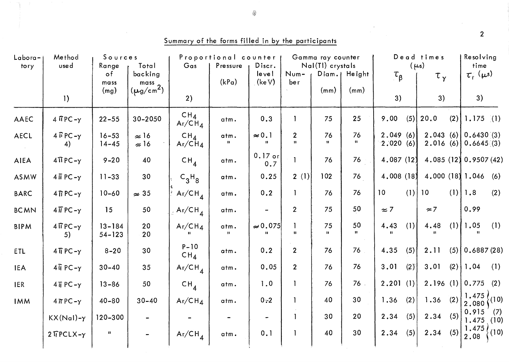| Labora-<br>tory | Method<br>used                      | Sources<br>Range          | Total                                  | Proportional counter<br>Gas          | Gamma ray counter<br>Nal(TI) crystals | Dead times<br>$(\mu s)$         |                                |                    |                        | Resolving<br>time    |     |             |     |                                               |             |
|-----------------|-------------------------------------|---------------------------|----------------------------------------|--------------------------------------|---------------------------------------|---------------------------------|--------------------------------|--------------------|------------------------|----------------------|-----|-------------|-----|-----------------------------------------------|-------------|
|                 |                                     | $\circ$ f<br>mass<br>(mg) | backing<br>$\frac{mass}{(\mu g/cm^2)}$ |                                      | Pressure<br>(kPa)                     | Discr.<br>level<br>(keV)        | Num-<br>ber                    | (mm)               | Diam.   Height<br>(mm) | $\tau_{\beta}$       |     | $\tau_{y}$  |     | $\tau_{\rm r}$ ( $\mu$ s)                     |             |
|                 | 1)                                  |                           |                                        | 2)                                   |                                       |                                 |                                |                    |                        | 3)                   |     | 3)          |     | 3)                                            |             |
| AAEC            | $4 \overline{1}$ PC - $\gamma$      | $22 - 55$                 | 30-2050                                | CH <sub>4</sub><br>$Ar/CH_A$         | atm.                                  | 0.3                             |                                | 75                 | 25                     | 9.00                 | (5) | 20.0        |     | $(2)$ 1.175 $(1)$                             |             |
| AECL            | $4 \overline{b}$ PC $-y$<br>4)      | $16 - 53$<br>$14 - 45$    | $\approx 16$<br>$\approx 16$           | $CH_{\Lambda}$<br>Ar/CH <sub>4</sub> | atm.<br>$\mathbf{H}$                  | $\approx 0.1$<br>$\mathbf{u}$   | $\overline{2}$<br>$\mathbf{H}$ | 76<br>$\mathbf{H}$ | 76<br>$\mathbf{H}$     | 2.049(6)<br>2.020(6) |     |             |     | $2.043(6)$ 0.6430 (3)<br>$2.016(6)$ 0.6645(3) |             |
| <b>AIEA</b>     | $4\pi$ PC- $\gamma$                 | $9 - 20$                  | 40                                     | $CH_{4}$                             | atm.                                  | $0.17$ or<br>0.7                |                                | 76                 | 76                     | 4.087(12)            |     |             |     | 4.085(12)0.9507(42)                           |             |
| <b>ASMW</b>     | $4 \overline{11}$ PC - $\gamma$     | $11 - 33$                 | 30                                     | $C_3H_8$                             | atm.                                  | 0.25                            | 2(1)                           | 102                | 76                     | 4.008(18)            |     |             |     | 4.000(18)1.046                                | (6)         |
| <b>BARC</b>     | $4$ $\overline{1}$ PC $-y$          | $10 - 60$                 | $\approx 35$                           | $Ar/CH_4$                            | atm.                                  | 0.2                             |                                | 76                 | 76                     | 10 <sup>°</sup>      |     | $(1)$   10  |     | $(1)$   1.8                                   | (2)         |
| <b>BCMN</b>     | $4\overline{11}$ PC - $\gamma$      | 15                        | 50                                     | $.$ Ar/CH <sub>4</sub>               | atm.                                  |                                 | $\overline{2}$                 | 75                 | 50                     | $\approx$ 7          |     | $\approx$ 7 |     | 0.99                                          |             |
| <b>BIPM</b>     | $4 \overline{H}$ PC- $\gamma$<br>5) | $13 - 184$<br>$54 - 123$  | 20<br>20                               | Ar/CH <sub>4</sub>                   | atm.<br>11                            | $\approx 0.075$<br>$\mathbf{H}$ | $\mathbf{H}$                   | 75<br>$\mathbf{H}$ | 50<br>$\mathbf{R}$     | 4.43                 | (1) | 4.48        |     | $(1)$   1.05                                  | (1)         |
| <b>ETL</b>      | $4\overline{1}$ PC- $\gamma$        | $8 - 20$                  | 30                                     | $P - 10$<br>CH <sub>4</sub>          | atm.                                  | 0.2                             | $\overline{2}$                 | 76                 | 76                     | 4.35                 | (5) | 2.11        |     | $(5)$ 0.6887 (28)                             |             |
| <b>IEA</b>      | $4\overline{11}$ PC- $\gamma$       | $30 - 40$                 | 35                                     | $Ar/CH$ <sub>4</sub>                 | atm.                                  | 0.05                            | $2\overline{ }$                | 76                 | 76                     | 3.01                 | (2) | 3.01        |     | $(2)$   1.04                                  | (1)         |
| <b>IER</b>      | $4\bar{\text{I}}$ PC- $\gamma$      | $13 - 86$                 | 50                                     | CH <sub>4</sub>                      | atm.                                  | 1.0                             | $\mathbf{I}$                   | 76                 | 76                     | 2.201(1)             |     |             |     | $2.196(1)$ 0.775                              | (2)         |
| <b>IMM</b>      | $4\pi PC - Y$                       | $40 - 80$                 | $30 - 40$                              | $Ar/CH_4$                            | atm.                                  | $0 - 2$                         |                                | 40                 | 30                     | 1.36                 | (2) | 1.36        | (2) | 1.475<br>$\frac{1}{2.080}$ (10)               |             |
|                 | $KX(Nal)-\gamma$                    | 120-300                   |                                        |                                      |                                       |                                 | $\mathbf{1}$                   | 30                 | 20                     | 2.34                 | (5) | 2.34        | (5) | 0.915<br>1.475                                | (7)<br>(10) |
|                 | $2$ TPCLX- $\gamma$                 | $\mathbf{H}$              |                                        | $Ar/CH_4$                            | atm.                                  | 0.1                             |                                | 40                 | 30                     | 2.34                 | (5) | 2.34        | (5) | 1.475)<br>2.08                                | (10)        |

Summary of the forms filled in by the participants

◈

 $\overline{2}$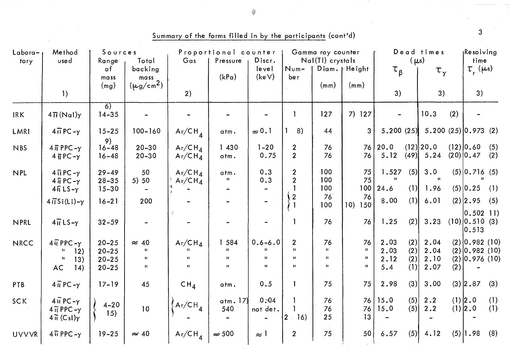| Sources<br>Labora-<br>Method<br>Range<br>Total<br>used<br>tory |                                                                                                               |                                                  |                                                    | Proportional counter<br>Pressure<br>Discr.<br>Gas |                                            |                                             | Gamma ray counter<br>Nal(TI) crystals                          | Dead times<br>$(\mu s)$                            |                                                    |                             |                          | Resolving<br>time            |     |                                                          |            |
|----------------------------------------------------------------|---------------------------------------------------------------------------------------------------------------|--------------------------------------------------|----------------------------------------------------|---------------------------------------------------|--------------------------------------------|---------------------------------------------|----------------------------------------------------------------|----------------------------------------------------|----------------------------------------------------|-----------------------------|--------------------------|------------------------------|-----|----------------------------------------------------------|------------|
|                                                                |                                                                                                               | $\circ$ f<br>mass<br>(mg)                        | backing<br>mass<br>$(\mu$ g/cm <sup>2</sup> )      |                                                   | (kPa)                                      | level<br>(keV)                              | Num-<br>be r                                                   | (mm)                                               | Diam.   Height<br>(mm)                             | $\tau_{\beta}$              |                          | $\tau_{\gamma}$              |     | $\tau_{\rm r}$ ( $\mu$ s)                                |            |
|                                                                | $\left  \cdot \right $                                                                                        |                                                  |                                                    | 2)                                                |                                            |                                             |                                                                |                                                    |                                                    | 3)                          |                          | 3)                           |     | 3)                                                       |            |
| <b>IRK</b>                                                     | $4\pi$ (Nal) $\gamma$                                                                                         | $\overline{6)}$<br>$14 - 35$                     |                                                    |                                                   |                                            |                                             |                                                                | 127                                                | $7)$ 127                                           |                             |                          | 10.3                         | (2) |                                                          |            |
| LMRI                                                           | $4\overline{11}$ PC $-\gamma$                                                                                 | $15 - 25$                                        | $100 - 160$                                        | $Ar/CH_4$                                         | atm.                                       | $\approx 0.1$                               | 8)                                                             | 44                                                 | 3                                                  | 5.200(25)                   |                          | $5.200(25)$ 0.973 (2)        |     |                                                          |            |
| <b>NBS</b>                                                     | $4\overline{\textsf{1}}$ PPC - $\gamma$<br>$4$ $\overline{1}$ PC $-y$                                         | 9)<br>$16 - 48$<br>$16 - 48$                     | $20 - 30$<br>$20 - 30$                             | $Ar/CH_A$<br>$Ar/CH_4$                            | 1 430<br>atm.                              | $1 - 20$<br>0.75                            | $\overline{2}$<br>$\overline{2}$                               | 76<br>76                                           | 76<br>76                                           | 20.0<br>5.12                |                          | (12) 20.0 <br>$(49)$ 5.24    |     | $(12)$ 0.60<br>$(20)$ 0.47                               | (5)<br>(2) |
| <b>NPL</b>                                                     | $4 \overline{\text{H}}$ PC $-\gamma$<br>$4 \hat{\mathbf{i}}$ PC- $\gamma$<br>$4\hat{\mathbf{1}}$ LS- $\gamma$ | $29 - 49$<br>$28 - 35$<br>$15 - 30$              | 50<br>5) 50                                        | Ar/CH <sub>4</sub><br>Ar/CH <sub>4</sub>          | atm.<br>$\mathbf{H}$                       | 0.3<br>0.3                                  | $\overline{2}$<br>$\overline{2}$                               | 100<br>100<br>100                                  | 75<br>75<br>100                                    | 1.527<br>24.6               | (5)<br>(1)               | 3.0<br>1.96                  |     | $(5)$ 0.716 (5)<br>$(5)$ 0.25                            | (1)        |
|                                                                | $4\overline{1}$ Si(Li)- $\gamma$                                                                              | $16 - 21$                                        | 200                                                |                                                   |                                            |                                             | $\overline{2}$                                                 | 76<br>100                                          | 76<br>150<br>10)                                   | 8,00                        | (1)                      | 6.01                         |     | $(2)$ 2.95                                               | (5)        |
| NPRL                                                           | $4\pi LS - \gamma$                                                                                            | $32 - 59$                                        |                                                    |                                                   |                                            |                                             |                                                                | 76                                                 | 76                                                 | 1.25                        | (2)                      | 3.23                         |     | $ 0.502 11\rangle$<br>$(10)$ 0.510 (3)<br> 0.513         |            |
| <b>NRCC</b>                                                    | $4\hat{u}$ PPC $-\gamma$<br>12)<br>$\mathbf{H}$<br>13)<br>AC<br>14)                                           | $20 - 25$<br>$20 - 25$<br>$20 - 25$<br>$20 - 25$ | $\approx 40$<br>-91<br>$\mathbf{H}$<br>$\mathbf H$ | $Ar/CH_4$<br>u                                    | 1584<br>Ħ.<br>$\mathbf{H}$<br>$\mathbf{H}$ | $0.6 - 6.0$<br>$\mathbf{H}$<br>$\mathbf{H}$ | $\overline{2}$<br>$\mathbf{H}$<br>$\mathbf{H}$<br>$\mathbf{H}$ | 76<br>$\mathbf{H}$<br>$\mathbf{H}$<br>$\mathbf{H}$ | 76<br>$\mathbf{H}$<br>$\mathbf{H}$<br>$\mathbf{u}$ | 2.03<br>2.03<br>2.12<br>5.4 | (2)<br>(2)<br>(2)<br>(1) | 2.04<br>2.04<br>2.10<br>2.07 | (2) | $(2)$ 0.982 (10)<br>$(2)$ 0.982 (10)<br>$(2)$ 0.976 (10) |            |
| PTB                                                            | $4\overline{11}$ PC - $\gamma$                                                                                | $17 - 19$                                        | 45                                                 | CH <sub>4</sub>                                   | atm.                                       | 0.5                                         |                                                                | 75                                                 | 75                                                 | 2.98                        | (3)                      | 3.00                         |     | $(3)$ 2.87                                               | (3)        |
| <b>SCK</b>                                                     | $4 \overline{u}$ PC - $\gamma$<br>$4\overline{11}$ PPC - $\gamma$<br>$4\pi$ (CsI) $\gamma$                    | $4 - 20$<br>15)                                  | 10                                                 | $\langle$ Ar/CH <sub>4</sub>                      | atm. $17$<br>540                           | 0, 04<br>not det.                           | $ 2 \t16 $                                                     | 76<br>76<br>25                                     | 76<br>76<br>13                                     | 15.0<br>15.0                | (5)<br>(5)               | 2.2<br>2.2                   |     | $(1)$  2.0<br>$(1)$  2.0                                 | (1)<br>(1) |
| <b>UVVVR</b>                                                   | $4\overline{11}$ PPC - $\gamma$                                                                               | $19 - 25$                                        | $\approx 40$                                       | $Ar/CH_4$                                         | $\approx$ 500                              | $\approx$ 1                                 | $\overline{2}$                                                 | 75                                                 | 50                                                 | 6.57                        | (5)                      | 4.12                         |     | $(5)$  1.98                                              | (8)        |

Summary of the forms filled in by the participants (cont'd)

◈

 $\overline{3}$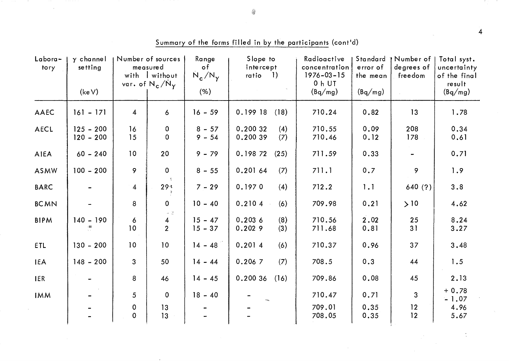| $Labora -$<br>tory | $\gamma$ channel<br>setting<br>(keV) |                  | Number of sources<br>measured<br>with I without<br>var. of $N_c/N_y$ | Range<br>o f<br>$N_c/N_{\gamma}$<br>(% ) | Slope to<br>intercept<br>$-1)$<br>ratio | Radioactive<br>concentration<br>$1976 - 03 - 15$<br>0 h UT | Standard<br>error of<br>the mean | 1 Number of 1<br>degrees of<br>freedom | Total syst.<br>uncertainty<br>of the final<br>result |
|--------------------|--------------------------------------|------------------|----------------------------------------------------------------------|------------------------------------------|-----------------------------------------|------------------------------------------------------------|----------------------------------|----------------------------------------|------------------------------------------------------|
|                    |                                      |                  |                                                                      |                                          |                                         | (Bq/mg)                                                    | (Bq/mg)                          |                                        | (Bq/mg)                                              |
| <b>AAEC</b>        | $161 - 171$                          | $\overline{4}$   | 6                                                                    | $16 - 59$                                | 0.199 18<br>(18)                        | 710.24                                                     | 0.82                             | 13                                     | 1.78                                                 |
| AECL               | $125 - 200$<br>$120 - 200$           | 16<br>15         | $\mathbf 0$<br>$\mathbf 0$                                           | $8 - 57$<br>$9 - 54$                     | 0.200 32<br>(4)<br>0.200 39<br>(7)      | 710.55<br>710.46                                           | 0.09<br>0.12                     | 208<br>178                             | 0.34<br>0.61                                         |
| <b>AIEA</b>        | $60 - 240$                           | 10 <sub>o</sub>  | 20                                                                   | $9 - 79$                                 | 0.198 72<br>(25)                        | 711.59                                                     | 0.33                             |                                        | 0.71                                                 |
| ASMW               | $100 - 200$                          | 9                | $\mathbf 0$                                                          | $8 - 55$                                 | 0.20164<br>(7)                          | 711.1                                                      | 0.7                              | 9                                      | 1.9                                                  |
| <b>BARC</b>        |                                      | $\overline{4}$   | 29.3                                                                 | $7 - 29$                                 | 0.1970<br>(4)                           | 712.2                                                      | 1.1                              | 640(?)                                 | 3.8                                                  |
| <b>BCMN</b>        |                                      | 8                | $\mathbf 0$<br>$\alpha=\frac{1+\epsilon}{2\epsilon}$                 | $10 - 40$                                | (6)<br>0.2104                           | 709.98                                                     | 0.21                             | >10                                    | 4.62                                                 |
| <b>BIPM</b>        | $140 - 190$<br>机                     | 6<br>10          | 4<br>$\overline{2}$                                                  | $15 - 47$<br>$15 - 37$                   | 0.2036<br>(8)<br>0.2029<br>(3)          | 710.56<br>711.68                                           | 2.02<br>0.81                     | 25<br>31                               | 8.24<br>3.27                                         |
| <b>ETL</b>         | $130 - 200$                          | 10               | 10                                                                   | $14 - 48$                                | 0.2014<br>(6)                           | 710.37                                                     | 0.96                             | 37                                     | 3.48                                                 |
| <b>IEA</b>         | $148 - 200$                          | $\mathbf{3}$     | 50                                                                   | $14 - 44$                                | (7)<br>0.2067                           | 708.5                                                      | 0.3                              | 44                                     | 1.5                                                  |
| <b>IER</b>         |                                      | 8                | 46                                                                   | $14 - 45$                                | 0.200 36<br>(16)                        | 709.86                                                     | 0.08                             | 45                                     | 2.13                                                 |
| <b>IMM</b>         |                                      | 5                | $\overline{0}$                                                       | $18 - 40$                                |                                         | 710.47                                                     | 0.71                             | 3                                      | $+0.78$<br>$-1.07$                                   |
|                    |                                      | 0<br>$\mathbf 0$ | 13<br>13                                                             |                                          |                                         | 709.01<br>708.05                                           | 0.35<br>0.35                     | 12<br>12                               | 4.96<br>5.67                                         |

Summary of the forms filled in by the participants (cont'd)

 $\overline{4}$ 

 $\frac{1}{2}$ 

◈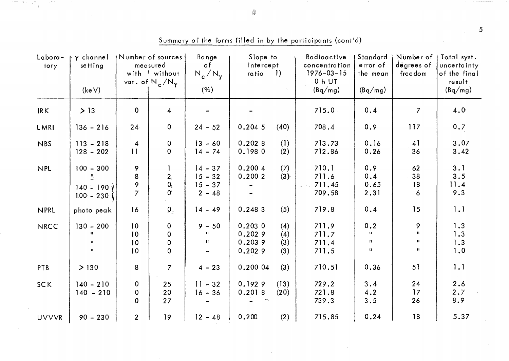| Labora-<br>tory | y channel<br>setting                                        |                                        | <b>Number of sources</b><br>measured<br>with I without<br>var. of $N_c/N_y$ | Range<br>of<br>$N_c/N_v$                        | Slope to<br>intercept<br>ratio 1)    |                          | Radioactive<br>concentration<br>$1976 - 03 - 15$<br>0 h UT | Standard<br>error of<br>the mean         | Number of<br>degrees of<br>freedom               | Total syst.<br>uncertainty<br>of the final<br>result |
|-----------------|-------------------------------------------------------------|----------------------------------------|-----------------------------------------------------------------------------|-------------------------------------------------|--------------------------------------|--------------------------|------------------------------------------------------------|------------------------------------------|--------------------------------------------------|------------------------------------------------------|
|                 | (keV)                                                       |                                        |                                                                             | (% )                                            |                                      |                          | (Bq/mg)                                                    | (Bq/mg)                                  |                                                  | (Bq/mg)                                              |
| IRK             | > 13                                                        | $\mathbf 0$                            | 4                                                                           |                                                 |                                      |                          | 715.0                                                      | 0.4                                      | $\overline{7}$                                   | 4.0                                                  |
| LMRI            | $136 - 216$                                                 | 24                                     | $\mathbf 0$                                                                 | $24 - 52$                                       | 0.2045                               | (40)                     | 708.4                                                      | 0.9                                      | 117                                              | 0.7                                                  |
| <b>NBS</b>      | $113 - 218$<br>$128 - 202$                                  | $\overline{4}$<br>11                   | 0<br>$\mathbf 0$                                                            | $13 - 60$<br>$14 - 74$                          | 0.2028<br>0.1980                     | (1)<br>(2)               | 713.73<br>712.86                                           | 0.16<br>0.26                             | 41<br>36                                         | 3.07<br>3.42                                         |
| <b>NPL</b>      | $100 - 300$<br>프<br>$140 - 190i$<br>$100 - 230$             | 9<br>8<br>9<br>$\overline{7}$          | $\mathbf{I}$<br>2 <sub>1</sub><br>$Q_{\rm c}$<br>$\alpha$                   | $14 - 37$<br>$15 - 32$<br>$15 - 37$<br>$2 - 48$ | 0.2004<br>0.200 2                    | (7)<br>(3)               | 710.1<br>711.6<br>711.45<br>709.58                         | 0.9<br>0.4<br>0.65<br>2.31               | 62<br>38<br>18<br>6                              | 3.1<br>3.5<br>11.4<br>9.3                            |
| <b>NPRL</b>     | photo peak                                                  | 16                                     | $\mathbf{0}_{\pm}$                                                          | $14 - 49$                                       | 0.2483                               | (5)                      | 719.8                                                      | 0.4                                      | 15                                               | 1.1                                                  |
| <b>NRCC</b>     | $130 - 200$<br>$\mathbf{u}$<br>$\mathbf{u}$<br>$\mathbf{u}$ | 10<br>10 <sub>1</sub><br>10<br>10      | $\pmb{0}$<br>$\mathbf 0$<br>0<br>$\mathbf 0$                                | $9 - 50$<br>Ħ<br>$\mathbf{H}$                   | 0.2030<br>0.2029<br>0.2039<br>0.2029 | (4)<br>(4)<br>(3)<br>(3) | 711.9<br>711.7<br>711.4<br>711.5                           | 0.2<br>$\mathbf{H}$<br>$\mathbf H$<br>11 | 9<br>$\mathbf{H}$<br>$\pmb{\Pi}$<br>$\mathbf{H}$ | 1.3<br>1.3<br>1.3<br>1.0                             |
| PTB             | > 130                                                       | 8                                      | $\overline{7}$                                                              | $4 - 23$                                        | 0.200 04                             | (3)                      | 710.51                                                     | 0.36                                     | 51                                               | 1.1                                                  |
| <b>SCK</b>      | $140 - 210$<br>$140 - 210$                                  | $\mathbf 0$<br>$\mathbf 0$<br>$\Omega$ | 25<br>20<br>27                                                              | $11 - 32$<br>$16 - 36$                          | 0.1929<br>0.2018                     | (13)<br>(20)             | 729.2<br>721.8<br>739.3                                    | 3.4<br>4.2<br>3.5                        | 24<br>17<br>26                                   | 2.6<br>2.7<br>8.9                                    |
| <b>UVVVR</b>    | $90 - 230$                                                  | 2 <sup>1</sup>                         | 19                                                                          | $12 - 48$                                       | 0.200                                | (2)                      | 715.85                                                     | 0.24                                     | 18                                               | 5.37                                                 |

Summary of the forms filled in by the participants (cont'd)

◈

arman kajadian.<br>Kabupaten Kalendar

 $\overline{5}$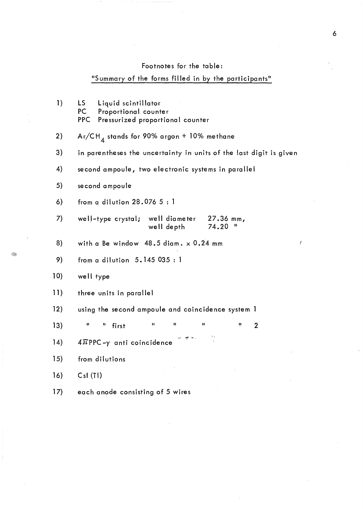# Footnotes for the table:

# "Summary of the forms filled in by the participants"

| $\mathbf{I}$ | LS.<br>Liquid scintillator<br>PC<br>Proportional counter<br>PPC<br>Pressurized proportional counter |
|--------------|-----------------------------------------------------------------------------------------------------|
| 2)           | $\mathsf{Ar} / \mathsf{CH}_4$ stands for 90% argon + 10% methane                                    |
| 3)           | in parentheses the uncertainty in units of the last digit is given                                  |
| 4)           | second ampoule, two electronic systems in parallel                                                  |
| 5)           | se cond ampoule                                                                                     |
| 6)           | from a dilution $28.0765:1$                                                                         |
| 7)           | well-type crystal;<br>well diameter<br>27.36 mm,<br>74.20<br>well depth                             |
| 8)           | with a Be window $48.5$ diam. $\times$ 0.24 mm                                                      |
| 9)           | from a dilution $5.145035:1$                                                                        |
| 10)          | well type                                                                                           |
| 11)          | three units in parallel                                                                             |
| 12)          | using the second ampoule and coincidence system 1                                                   |
| 13)          | u<br>п<br>П<br>$\blacksquare$<br>п<br>11<br>first<br>$\overline{2}$                                 |
| 14)          | 24<br>$4\pi$ PPC- $\gamma$ anti coincidence                                                         |
| 15)          | from dilutions                                                                                      |
| 16)          | Csl(TI)                                                                                             |
| 17)          | each anode consisting of 5 wires                                                                    |

 $\boldsymbol{I}$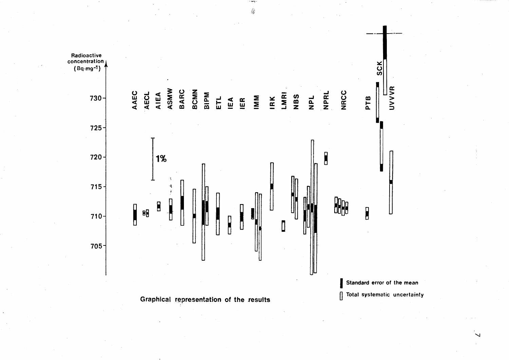

 $\overline{\phantom{0}}$